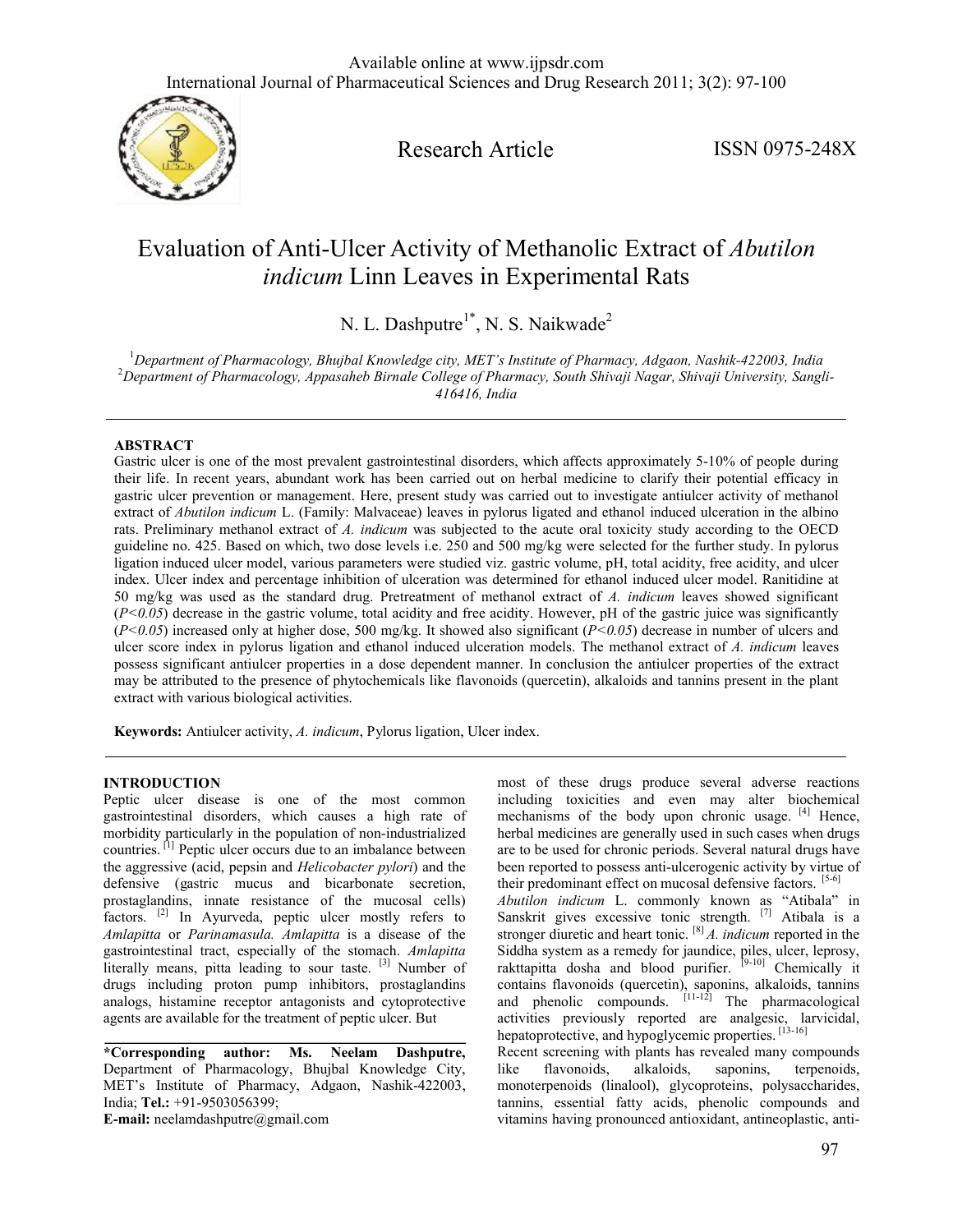

Research Article ISSN 0975-248X

# Evaluation of Anti-Ulcer Activity of Methanolic Extract of *Abutilon indicum* Linn Leaves in Experimental Rats

N. L. Dashputre<sup>1\*</sup>, N. S. Naikwade<sup>2</sup>

<sup>1</sup> Department of Pharmacology, Bhujbal Knowledge city, MET's Institute of Pharmacy, Adgaon, Nashik-422003, India<br><sup>2</sup> Department of Pharmacology, Appacabab Birnala Collage of Pharmacy, South Shiyaji Nagay, Shiyaji Uniyargi *Department of Pharmacology, Appasaheb Birnale College of Pharmacy, South Shivaji Nagar, Shivaji University, Sangli-416416, India*

# **ABSTRACT**

Gastric ulcer is one of the most prevalent gastrointestinal disorders, which affects approximately 5-10% of people during their life. In recent years, abundant work has been carried out on herbal medicine to clarify their potential efficacy in gastric ulcer prevention or management. Here, present study was carried out to investigate antiulcer activity of methanol extract of *Abutilon indicum* L. (Family: Malvaceae) leaves in pylorus ligated and ethanol induced ulceration in the albino rats. Preliminary methanol extract of *A. indicum* was subjected to the acute oral toxicity study according to the OECD guideline no. 425. Based on which, two dose levels i.e. 250 and 500 mg/kg were selected for the further study. In pylorus ligation induced ulcer model, various parameters were studied viz. gastric volume, pH, total acidity, free acidity, and ulcer index. Ulcer index and percentage inhibition of ulceration was determined for ethanol induced ulcer model. Ranitidine at 50 mg/kg was used as the standard drug. Pretreatment of methanol extract of *A. indicum* leaves showed significant  $(P<0.05)$  decrease in the gastric volume, total acidity and free acidity. However, pH of the gastric juice was significantly (*P<0.05*) increased only at higher dose, 500 mg/kg. It showed also significant (*P<0.05*) decrease in number of ulcers and ulcer score index in pylorus ligation and ethanol induced ulceration models. The methanol extract of *A. indicum* leaves possess significant antiulcer properties in a dose dependent manner. In conclusion the antiulcer properties of the extract may be attributed to the presence of phytochemicals like flavonoids (quercetin), alkaloids and tannins present in the plant extract with various biological activities.

**Keywords:** Antiulcer activity, *A. indicum*, Pylorus ligation, Ulcer index.

# **INTRODUCTION**

Peptic ulcer disease is one of the most common gastrointestinal disorders, which causes a high rate of morbidity particularly in the population of non-industrialized countries. [1] Peptic ulcer occurs due to an imbalance between the aggressive (acid, pepsin and *Helicobacter pylori*) and the defensive (gastric mucus and bicarbonate secretion, prostaglandins, innate resistance of the mucosal cells) factors. [2] In Ayurveda, peptic ulcer mostly refers to *Amlapitta* or *Parinamasula. Amlapitta* is a disease of the gastrointestinal tract, especially of the stomach. *Amlapitta*  literally means, pitta leading to sour taste. [3] Number of drugs including proton pump inhibitors, prostaglandins analogs, histamine receptor antagonists and cytoprotective agents are available for the treatment of peptic ulcer. But

**\*Corresponding author: Ms. Neelam Dashputre,** Department of Pharmacology, Bhujbal Knowledge City, MET's Institute of Pharmacy, Adgaon, Nashik-422003, India; **Tel.:** +91-9503056399;

**E-mail:** neelamdashputre@gmail.com

most of these drugs produce several adverse reactions including toxicities and even may alter biochemical mechanisms of the body upon chronic usage. [4] Hence, herbal medicines are generally used in such cases when drugs are to be used for chronic periods. Several natural drugs have been reported to possess anti-ulcerogenic activity by virtue of their predominant effect on mucosal defensive factors. [5-6] *Abutilon indicum* L. commonly known as "Atibala" in Sanskrit gives excessive tonic strength. [7] Atibala is a stronger diuretic and heart tonic. [8] *A. indicum* reported in the Siddha system as a remedy for jaundice, piles, ulcer, leprosy, rakttapitta dosha and blood purifier. [9-10] Chemically it contains flavonoids (quercetin), saponins, alkaloids, tannins and phenolic compounds.  $[11-12]$  The pharmacological activities previously reported are analgesic, larvicidal, hepatoprotective, and hypoglycemic properties. [13-16]

Recent screening with plants has revealed many compounds like flavonoids, alkaloids, saponins, terpenoids, monoterpenoids (linalool), glycoproteins, polysaccharides, tannins, essential fatty acids, phenolic compounds and vitamins having pronounced antioxidant, antineoplastic, anti-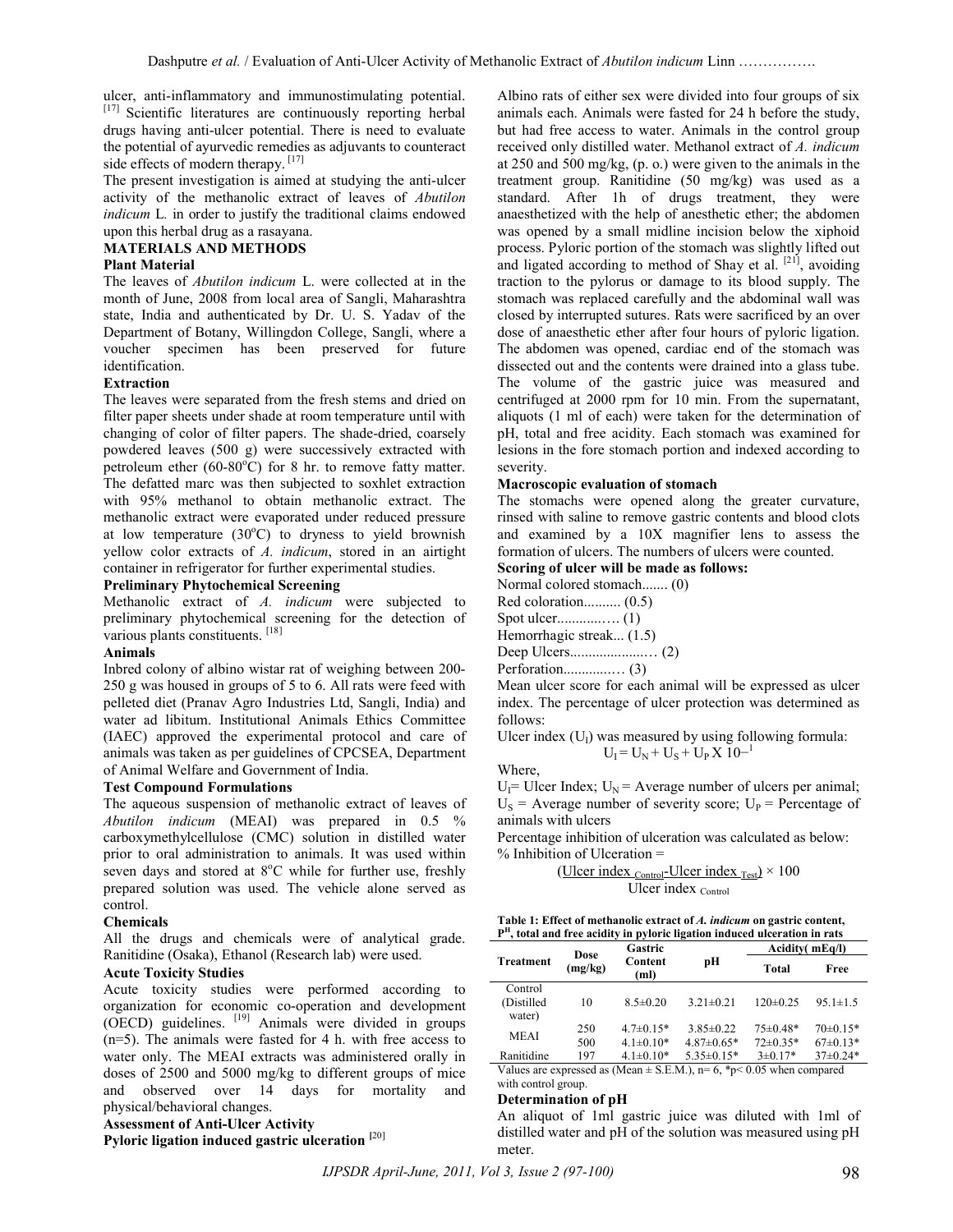ulcer, anti-inflammatory and immunostimulating potential. [17] Scientific literatures are continuously reporting herbal drugs having anti-ulcer potential. There is need to evaluate the potential of ayurvedic remedies as adjuvants to counteract side effects of modern therapy.<sup>[17]</sup>

The present investigation is aimed at studying the anti-ulcer activity of the methanolic extract of leaves of *Abutilon indicum* L*.* in order to justify the traditional claims endowed upon this herbal drug as a rasayana.

# **MATERIALS AND METHODS**

#### **Plant Material**

The leaves of *Abutilon indicum* L. were collected at in the month of June, 2008 from local area of Sangli, Maharashtra state, India and authenticated by Dr. U. S. Yadav of the Department of Botany, Willingdon College, Sangli, where a voucher specimen has been preserved for future identification.

# **Extraction**

The leaves were separated from the fresh stems and dried on filter paper sheets under shade at room temperature until with changing of color of filter papers. The shade-dried, coarsely powdered leaves (500 g) were successively extracted with petroleum ether  $(60-80^{\circ}\text{C})$  for 8 hr. to remove fatty matter. The defatted marc was then subjected to soxhlet extraction with 95% methanol to obtain methanolic extract. The methanolic extract were evaporated under reduced pressure at low temperature  $(30^{\circ}C)$  to dryness to yield brownish yellow color extracts of *A. indicum*, stored in an airtight container in refrigerator for further experimental studies.

#### **Preliminary Phytochemical Screening**

Methanolic extract of *A. indicum* were subjected to preliminary phytochemical screening for the detection of various plants constituents. [18]

# **Animals**

Inbred colony of albino wistar rat of weighing between 200- 250 g was housed in groups of 5 to 6. All rats were feed with pelleted diet (Pranav Agro Industries Ltd, Sangli, India) and water ad libitum. Institutional Animals Ethics Committee (IAEC) approved the experimental protocol and care of animals was taken as per guidelines of CPCSEA, Department of Animal Welfare and Government of India.

# **Test Compound Formulations**

The aqueous suspension of methanolic extract of leaves of *Abutilon indicum* (MEAI) was prepared in 0.5 % carboxymethylcellulose (CMC) solution in distilled water prior to oral administration to animals. It was used within seven days and stored at  $8^{\circ}$ C while for further use, freshly prepared solution was used. The vehicle alone served as control.

# **Chemicals**

All the drugs and chemicals were of analytical grade. Ranitidine (Osaka), Ethanol (Research lab) were used.

# **Acute Toxicity Studies**

Acute toxicity studies were performed according to organization for economic co-operation and development  $(OECD)$  guidelines.  $[19]$  Animals were divided in groups (n=5). The animals were fasted for 4 h. with free access to water only. The MEAI extracts was administered orally in doses of 2500 and 5000 mg/kg to different groups of mice and observed over 14 days for mortality and physical/behavioral changes.

# **Assessment of Anti-Ulcer Activity**

**Pyloric ligation induced gastric ulceration [**20]

Albino rats of either sex were divided into four groups of six animals each. Animals were fasted for 24 h before the study, but had free access to water. Animals in the control group received only distilled water. Methanol extract of *A. indicum*  at 250 and 500 mg/kg, (p. o.) were given to the animals in the treatment group. Ranitidine (50 mg/kg) was used as a standard. After 1h of drugs treatment, they were anaesthetized with the help of anesthetic ether; the abdomen was opened by a small midline incision below the xiphoid process. Pyloric portion of the stomach was slightly lifted out and ligated according to method of Shay et al.  $[21]$ , avoiding traction to the pylorus or damage to its blood supply. The stomach was replaced carefully and the abdominal wall was closed by interrupted sutures. Rats were sacrificed by an over dose of anaesthetic ether after four hours of pyloric ligation. The abdomen was opened, cardiac end of the stomach was dissected out and the contents were drained into a glass tube. The volume of the gastric juice was measured and centrifuged at 2000 rpm for 10 min. From the supernatant, aliquots (1 ml of each) were taken for the determination of pH, total and free acidity. Each stomach was examined for lesions in the fore stomach portion and indexed according to severity.

#### **Macroscopic evaluation of stomach**

The stomachs were opened along the greater curvature, rinsed with saline to remove gastric contents and blood clots and examined by a 10Χ magnifier lens to assess the formation of ulcers. The numbers of ulcers were counted.

# **Scoring of ulcer will be made as follows:**

| $\sim$ , or and $\sim$ mass $\sim$ mass $\sim$ |
|------------------------------------------------|
| Normal colored stomach (0)                     |
| Red coloration $(0.5)$                         |
|                                                |
| Hemorrhagic streak (1.5)                       |
|                                                |
|                                                |
|                                                |

Mean ulcer score for each animal will be expressed as ulcer index. The percentage of ulcer protection was determined as follows:

Ulcer index  $(U<sub>1</sub>)$  was measured by using following formula:  $U_I = U_N + U_S + U_P X 10^{-1}$ 

Where,

 $U_I$ = Ulcer Index;  $U_N$  = Average number of ulcers per animal;  $U<sub>S</sub>$  = Average number of severity score;  $U<sub>P</sub>$  = Percentage of animals with ulcers

Percentage inhibition of ulceration was calculated as below: % Inhibition of Ulceration =

$$
\frac{\text{(Uler index}_{\text{Control}}\text{-Uler index}_{\text{Test}})}{\text{Uler index}_{\text{Control}}}
$$

| Table 1: Effect of methanolic extract of A. indicum on gastric content,                |  |
|----------------------------------------------------------------------------------------|--|
| P <sup>H</sup> , total and free acidity in pyloric ligation induced ulceration in rats |  |

|                      | Dose                             | Gastric         |                  | Acidity (mEq/l) |                |
|----------------------|----------------------------------|-----------------|------------------|-----------------|----------------|
| <b>Treatment</b>     | Content<br>pН<br>(mg/kg)<br>(ml) |                 |                  | <b>Total</b>    | Free           |
| Control              |                                  |                 |                  |                 |                |
| (Distilled<br>water) | 10                               | $8.5 \pm 0.20$  | $3.21 \pm 0.21$  | $120 \pm 0.25$  | $95.1 \pm 1.5$ |
| <b>MEAI</b>          | 250                              | $4.7\pm 0.15*$  | $3.85\pm0.22$    | $75\pm0.48*$    | $70\pm0.15*$   |
|                      | 500                              | $4.1 \pm 0.10*$ | $4.87\pm0.65*$   | $72\pm0.35*$    | $67\pm0.13*$   |
| Ranitidine           | 197                              | $4.1 \pm 0.10*$ | $5.35 \pm 0.15*$ | $3\pm0.17*$     | $37\pm0.24*$   |

Values are expressed as (Mean  $\pm$  S.E.M.), n= 6, \*p< 0.05 when compared with control group.

#### **Determination of pH**

An aliquot of 1ml gastric juice was diluted with 1ml of distilled water and pH of the solution was measured using pH meter.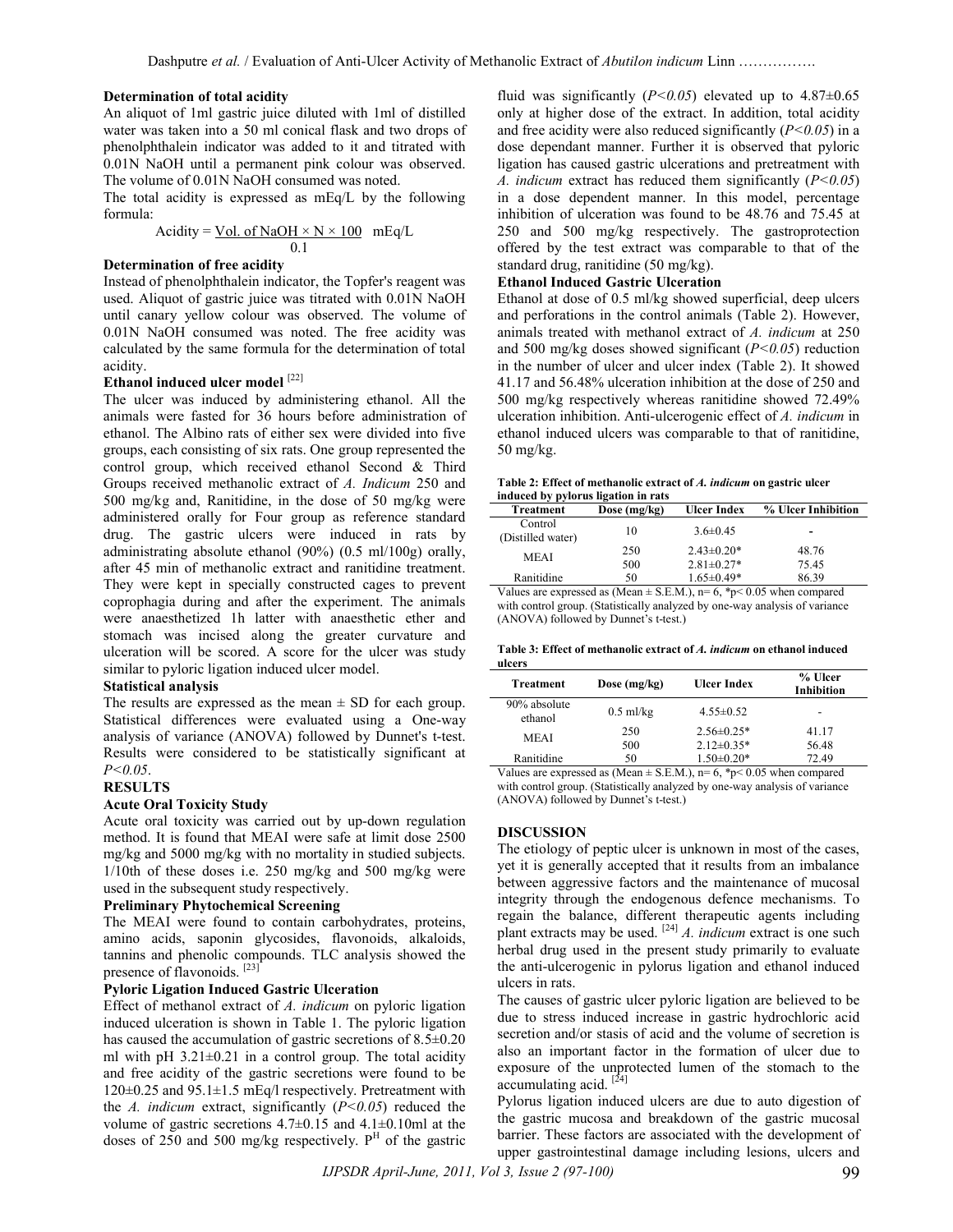#### **Determination of total acidity**

An aliquot of 1ml gastric juice diluted with 1ml of distilled water was taken into a 50 ml conical flask and two drops of phenolphthalein indicator was added to it and titrated with 0.01N NaOH until a permanent pink colour was observed. The volume of 0.01N NaOH consumed was noted.

The total acidity is expressed as mEq/L by the following formula:

$$
Acidity = \underline{Vol. of NaOH \times N \times 100} \quad mEq/L
$$
  
0.1

# **Determination of free acidity**

Instead of phenolphthalein indicator, the Topfer's reagent was used. Aliquot of gastric juice was titrated with 0.01N NaOH until canary yellow colour was observed. The volume of 0.01N NaOH consumed was noted. The free acidity was calculated by the same formula for the determination of total acidity.

# **Ethanol induced ulcer model** [22]

The ulcer was induced by administering ethanol. All the animals were fasted for 36 hours before administration of ethanol. The Albino rats of either sex were divided into five groups, each consisting of six rats. One group represented the control group, which received ethanol Second & Third Groups received methanolic extract of *A. Indicum* 250 and 500 mg/kg and, Ranitidine, in the dose of 50 mg/kg were administered orally for Four group as reference standard drug. The gastric ulcers were induced in rats by administrating absolute ethanol (90%) (0.5 ml/100g) orally, after 45 min of methanolic extract and ranitidine treatment. They were kept in specially constructed cages to prevent coprophagia during and after the experiment. The animals were anaesthetized 1h latter with anaesthetic ether and stomach was incised along the greater curvature and ulceration will be scored. A score for the ulcer was study similar to pyloric ligation induced ulcer model.

#### **Statistical analysis**

The results are expressed as the mean  $\pm$  SD for each group. Statistical differences were evaluated using a One-way analysis of variance (ANOVA) followed by Dunnet's t-test. Results were considered to be statistically significant at *P<0.05*.

#### **RESULTS**

### **Acute Oral Toxicity Study**

Acute oral toxicity was carried out by up-down regulation method. It is found that MEAI were safe at limit dose 2500 mg/kg and 5000 mg/kg with no mortality in studied subjects. 1/10th of these doses i.e. 250 mg/kg and 500 mg/kg were used in the subsequent study respectively.

#### **Preliminary Phytochemical Screening**

The MEAI were found to contain carbohydrates, proteins, amino acids, saponin glycosides, flavonoids, alkaloids, tannins and phenolic compounds. TLC analysis showed the presence of flavonoids. [23]

#### **Pyloric Ligation Induced Gastric Ulceration**

Effect of methanol extract of *A. indicum* on pyloric ligation induced ulceration is shown in Table 1. The pyloric ligation has caused the accumulation of gastric secretions of  $8.5\pm0.20$ ml with pH  $3.21 \pm 0.21$  in a control group. The total acidity and free acidity of the gastric secretions were found to be 120±0.25 and 95.1±1.5 mEq/l respectively. Pretreatment with the *A. indicum* extract, significantly (*P<0.05*) reduced the volume of gastric secretions  $4.7\pm0.15$  and  $4.1\pm0.10$ ml at the doses of 250 and 500 mg/kg respectively.  $P<sup>H</sup>$  of the gastric fluid was significantly  $(P<0.05)$  elevated up to  $4.87\pm0.65$ only at higher dose of the extract. In addition, total acidity and free acidity were also reduced significantly (*P<0.05*) in a dose dependant manner. Further it is observed that pyloric ligation has caused gastric ulcerations and pretreatment with *A. indicum* extract has reduced them significantly (*P<0.05*) in a dose dependent manner. In this model, percentage inhibition of ulceration was found to be 48.76 and 75.45 at 250 and 500 mg/kg respectively. The gastroprotection offered by the test extract was comparable to that of the standard drug, ranitidine (50 mg/kg).

### **Ethanol Induced Gastric Ulceration**

Ethanol at dose of 0.5 ml/kg showed superficial, deep ulcers and perforations in the control animals (Table 2). However, animals treated with methanol extract of *A. indicum* at 250 and 500 mg/kg doses showed significant (*P<0.05*) reduction in the number of ulcer and ulcer index (Table 2). It showed 41.17 and 56.48% ulceration inhibition at the dose of 250 and 500 mg/kg respectively whereas ranitidine showed 72.49% ulceration inhibition. Anti-ulcerogenic effect of *A. indicum* in ethanol induced ulcers was comparable to that of ranitidine, 50 mg/kg.

**Table 2: Effect of methanolic extract of** *A. indicum* **on gastric ulcer induced by pylorus ligation in rats**

| Treatment                    | Dose (mg/kg) | <b>Ulcer Index</b> | % Ulcer Inhibition       |
|------------------------------|--------------|--------------------|--------------------------|
| Control<br>(Distilled water) | 10           | $3.6 \pm 0.45$     | $\overline{\phantom{0}}$ |
|                              | 250          | $2.43\pm0.20*$     | 48.76                    |
| <b>MEAI</b>                  | 500          | $2.81 \pm 0.27$ *  | 75.45                    |
| Ranitidine                   | 50           | $1.65 \pm 0.49*$   | 86.39                    |

Values are expressed as (Mean  $\pm$  S.E.M.), n= 6, \*p< 0.05 when compared with control group. (Statistically analyzed by one-way analysis of variance (ANOVA) followed by Dunnet's t-test.)

| Table 3: Effect of methanolic extract of A. indicum on ethanol induced |  |  |
|------------------------------------------------------------------------|--|--|
| ulcers                                                                 |  |  |

| <b>Treatment</b>        | Dose (mg/kg)                  | <b>Ulcer Index</b> | % Ulcer<br>Inhibition |
|-------------------------|-------------------------------|--------------------|-----------------------|
| 90% absolute<br>ethanol | $0.5$ ml/kg                   | $4.55 \pm 0.52$    | -                     |
|                         | 250                           | $2.56 \pm 0.25$ *  | 41.17                 |
| <b>MEAI</b>             | 500                           | $2.12 \pm 0.35*$   | 56.48                 |
| Ranitidine              | 50                            | $1.50 \pm 0.20*$   | 72.49                 |
| $- -$                   | $\mathbf{v}$<br>$\sim$ $\sim$ |                    | . .                   |

Values are expressed as (Mean  $\pm$  S.E.M.), n= 6, \*p< 0.05 when compared with control group. (Statistically analyzed by one-way analysis of variance (ANOVA) followed by Dunnet's t-test.)

# **DISCUSSION**

The etiology of peptic ulcer is unknown in most of the cases, yet it is generally accepted that it results from an imbalance between aggressive factors and the maintenance of mucosal integrity through the endogenous defence mechanisms. To regain the balance, different therapeutic agents including plant extracts may be used. <sup>[24]</sup> *A. indicum* extract is one such herbal drug used in the present study primarily to evaluate the anti-ulcerogenic in pylorus ligation and ethanol induced ulcers in rats.

The causes of gastric ulcer pyloric ligation are believed to be due to stress induced increase in gastric hydrochloric acid secretion and/or stasis of acid and the volume of secretion is also an important factor in the formation of ulcer due to exposure of the unprotected lumen of the stomach to the accumulating acid.<sup>[24]</sup>

Pylorus ligation induced ulcers are due to auto digestion of the gastric mucosa and breakdown of the gastric mucosal barrier. These factors are associated with the development of upper gastrointestinal damage including lesions, ulcers and